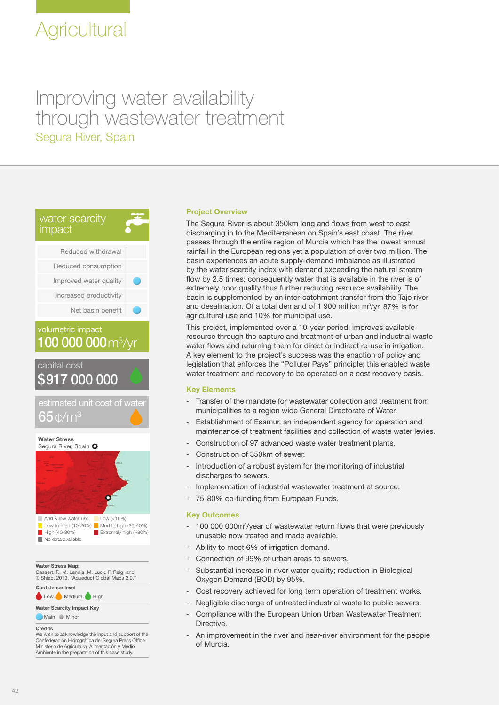# Improving water availability through wastewater treatment Segura River, Spain



# 100 000 000 m<sup>3</sup>/yr volumetric impact





**Water Stress Map:**

Gassert, F., M. Landis, M. Luck, P. Reig, and T. Shiao. 2013. "Aqueduct Global Maps 2.0.

Low Medium High **Confidence level**

**Water Scarcity Impact Key**

Main Minor

#### **Credits**

We wish to acknowledge the input and support of the Confederación Hidrográfica del Segura Press Office, Ministerio de Agricultura, Alimentación y Medio Ambiente in the preparation of this case study.

# **Project Overview**

The Segura River is about 350km long and flows from west to east discharging in to the Mediterranean on Spain's east coast. The river passes through the entire region of Murcia which has the lowest annual rainfall in the European regions yet a population of over two million. The basin experiences an acute supply-demand imbalance as illustrated by the water scarcity index with demand exceeding the natural stream flow by 2.5 times; consequently water that is available in the river is of extremely poor quality thus further reducing resource availability. The basin is supplemented by an inter-catchment transfer from the Tajo river and desalination. Of a total demand of 1 900 million m3 /yr, 87% is for agricultural use and 10% for municipal use.

This project, implemented over a 10-year period, improves available resource through the capture and treatment of urban and industrial waste water flows and returning them for direct or indirect re-use in irrigation. A key element to the project's success was the enaction of policy and legislation that enforces the "Polluter Pays" principle; this enabled waste water treatment and recovery to be operated on a cost recovery basis.

# **Key Elements**

- Transfer of the mandate for wastewater collection and treatment from municipalities to a region wide General Directorate of Water.
- Establishment of Esamur, an independent agency for operation and maintenance of treatment facilities and collection of waste water levies.
- Construction of 97 advanced waste water treatment plants.
- Construction of 350km of sewer.
- Introduction of a robust system for the monitoring of industrial discharges to sewers.
- Implementation of industrial wastewater treatment at source.
- 75-80% co-funding from European Funds.

### **Key Outcomes**

- 100 000 000m<sup>3</sup>/year of wastewater return flows that were previously unusable now treated and made available.
- Ability to meet 6% of irrigation demand.
- Connection of 99% of urban areas to sewers.
- Substantial increase in river water quality; reduction in Biological Oxygen Demand (BOD) by 95%.
- Cost recovery achieved for long term operation of treatment works.
- Negligible discharge of untreated industrial waste to public sewers.
- Compliance with the European Union Urban Wastewater Treatment Directive.
- An improvement in the river and near-river environment for the people of Murcia.